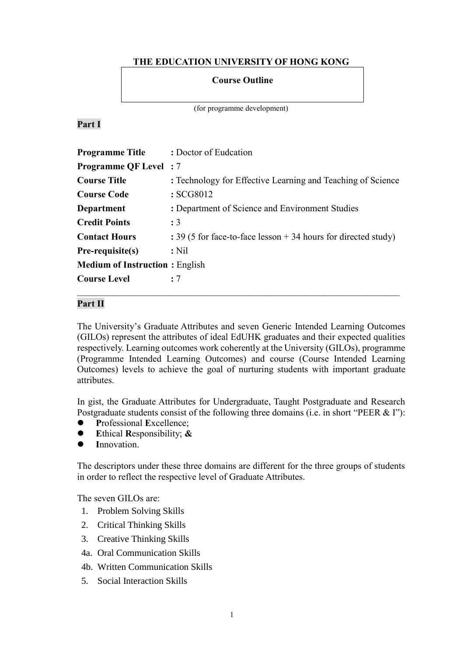# **THE EDUCATION UNIVERSITY OF HONG KONG**

### **Course Outline**

(for programme development)

### **Part I**

| <b>Programme Title</b>                | : Doctor of Eudcation                                            |
|---------------------------------------|------------------------------------------------------------------|
| <b>Programme QF Level</b> : 7         |                                                                  |
| <b>Course Title</b>                   | : Technology for Effective Learning and Teaching of Science      |
| <b>Course Code</b>                    | :SCG8012                                                         |
| Department                            | : Department of Science and Environment Studies                  |
| <b>Credit Points</b>                  | $\div$ 3                                                         |
| <b>Contact Hours</b>                  | : 39 (5 for face-to-face lesson $+$ 34 hours for directed study) |
| Pre-requisite(s)                      | $:$ Nil                                                          |
| <b>Medium of Instruction: English</b> |                                                                  |
| <b>Course Level</b>                   | : 7                                                              |

# **Part II**

The University's Graduate Attributes and seven Generic Intended Learning Outcomes (GILOs) represent the attributes of ideal EdUHK graduates and their expected qualities respectively. Learning outcomes work coherently at the University (GILOs), programme (Programme Intended Learning Outcomes) and course (Course Intended Learning Outcomes) levels to achieve the goal of nurturing students with important graduate attributes.

In gist, the Graduate Attributes for Undergraduate, Taught Postgraduate and Research Postgraduate students consist of the following three domains (i.e. in short "PEER & I"):

- **P**rofessional **E**xcellence;
- **E**thical **R**esponsibility; **&**
- **I**nnovation.

The descriptors under these three domains are different for the three groups of students in order to reflect the respective level of Graduate Attributes.

The seven GILOs are:

- 1. Problem Solving Skills
- 2. Critical Thinking Skills
- 3. Creative Thinking Skills
- 4a. Oral Communication Skills
- 4b. Written Communication Skills
- 5. Social Interaction Skills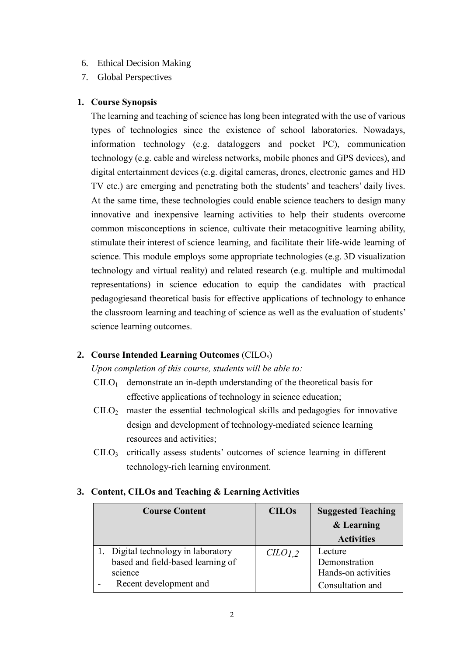### 6. Ethical Decision Making

7. Global Perspectives

### **1. Course Synopsis**

The learning and teaching of science has long been integrated with the use of various types of technologies since the existence of school laboratories. Nowadays, information technology (e.g. dataloggers and pocket PC), communication technology (e.g. cable and wireless networks, mobile phones and GPS devices), and digital entertainment devices (e.g. digital cameras, drones, electronic games and HD TV etc.) are emerging and penetrating both the students' and teachers' daily lives. At the same time, these technologies could enable science teachers to design many innovative and inexpensive learning activities to help their students overcome common misconceptions in science, cultivate their metacognitive learning ability, stimulate their interest of science learning, and facilitate their life-wide learning of science. This module employs some appropriate technologies (e.g. 3D visualization technology and virtual reality) and related research (e.g. multiple and multimodal representations) in science education to equip the candidates with practical pedagogiesand theoretical basis for effective applications of technology to enhance the classroom learning and teaching of science as well as the evaluation of students' science learning outcomes.

## **2. Course Intended Learning Outcomes** (CILOs)

*Upon completion of this course, students will be able to:*

- $C I L O<sub>1</sub>$  demonstrate an in-depth understanding of the theoretical basis for effective applications of technology in science education;
- $\text{CID}_2$  master the essential technological skills and pedagogies for innovative design and development of technology-mediated science learning resources and activities;
- CILO<sup>3</sup> critically assess students' outcomes of science learning in different technology-rich learning environment.

### **3. Content, CILOs and Teaching & Learning Activities**

| <b>Course Content</b> |                                     | <b>CILOs</b>       | <b>Suggested Teaching</b> |  |
|-----------------------|-------------------------------------|--------------------|---------------------------|--|
|                       |                                     |                    | & Learning                |  |
|                       |                                     |                    | <b>Activities</b>         |  |
|                       | 1. Digital technology in laboratory | CLO <sub>1,2</sub> | Lecture                   |  |
|                       | based and field-based learning of   |                    | Demonstration             |  |
|                       | science                             |                    | Hands-on activities       |  |
|                       | Recent development and              |                    | Consultation and          |  |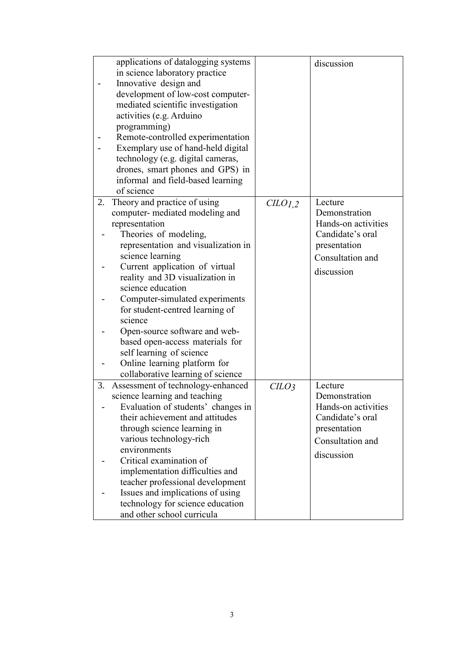|    | applications of datalogging systems |                  | discussion          |
|----|-------------------------------------|------------------|---------------------|
|    | in science laboratory practice      |                  |                     |
|    | Innovative design and               |                  |                     |
|    | development of low-cost computer-   |                  |                     |
|    | mediated scientific investigation   |                  |                     |
|    | activities (e.g. Arduino            |                  |                     |
|    | programming)                        |                  |                     |
|    | Remote-controlled experimentation   |                  |                     |
|    | Exemplary use of hand-held digital  |                  |                     |
|    | technology (e.g. digital cameras,   |                  |                     |
|    | drones, smart phones and GPS) in    |                  |                     |
|    | informal and field-based learning   |                  |                     |
|    | of science                          |                  |                     |
|    | 2. Theory and practice of using     | CLO1,2           | Lecture             |
|    | computer- mediated modeling and     |                  | Demonstration       |
|    | representation                      |                  | Hands-on activities |
|    | Theories of modeling,               |                  | Candidate's oral    |
|    | representation and visualization in |                  | presentation        |
|    | science learning                    |                  | Consultation and    |
|    | Current application of virtual      |                  | discussion          |
|    | reality and 3D visualization in     |                  |                     |
|    | science education                   |                  |                     |
|    | Computer-simulated experiments      |                  |                     |
|    | for student-centred learning of     |                  |                     |
|    | science                             |                  |                     |
|    | Open-source software and web-       |                  |                     |
|    | based open-access materials for     |                  |                     |
|    | self learning of science            |                  |                     |
|    | Online learning platform for        |                  |                     |
|    | collaborative learning of science   |                  |                     |
| 3. | Assessment of technology-enhanced   | CLO <sub>3</sub> | Lecture             |
|    | science learning and teaching       |                  | Demonstration       |
|    | Evaluation of students' changes in  |                  | Hands-on activities |
|    | their achievement and attitudes     |                  | Candidate's oral    |
|    | through science learning in         |                  | presentation        |
|    | various technology-rich             |                  | Consultation and    |
|    | environments                        |                  | discussion          |
|    | Critical examination of             |                  |                     |
|    | implementation difficulties and     |                  |                     |
|    | teacher professional development    |                  |                     |
|    | Issues and implications of using    |                  |                     |
|    | technology for science education    |                  |                     |
|    | and other school curricula          |                  |                     |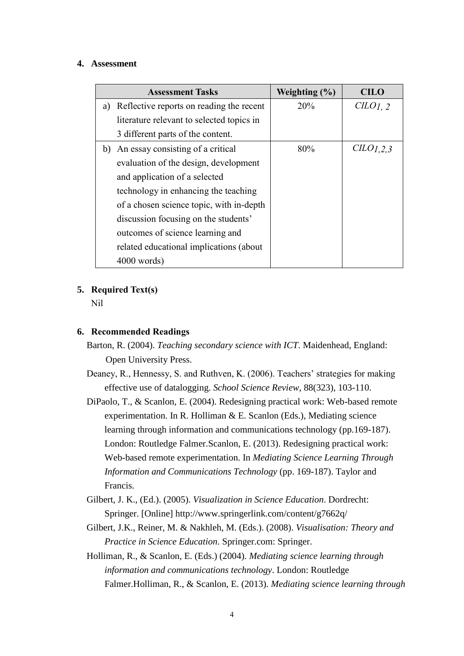#### **4. Assessment**

| <b>Assessment Tasks</b> |                                           | Weighting $(\% )$ | <b>CILO</b> |
|-------------------------|-------------------------------------------|-------------------|-------------|
| a)                      | Reflective reports on reading the recent  | 20%               | CHO1.2      |
|                         | literature relevant to selected topics in |                   |             |
|                         | 3 different parts of the content.         |                   |             |
| b)                      | An essay consisting of a critical         | 80%               | CLO1,2,3    |
|                         | evaluation of the design, development     |                   |             |
|                         | and application of a selected             |                   |             |
|                         | technology in enhancing the teaching      |                   |             |
|                         | of a chosen science topic, with in-depth  |                   |             |
|                         | discussion focusing on the students'      |                   |             |
|                         | outcomes of science learning and          |                   |             |
|                         | related educational implications (about   |                   |             |
|                         | $4000$ words)                             |                   |             |

### **5. Required Text(s)**

Nil

### **6. Recommended Readings**

- Barton, R. (2004). *Teaching secondary science with ICT*. Maidenhead, England: Open University Press.
- Deaney, R., Hennessy, S. and Ruthven, K. (2006). Teachers' strategies for making effective use of datalogging. *School Science Review*, 88(323), 103-110.
- DiPaolo, T., & Scanlon, E. (2004). Redesigning practical work: Web-based remote experimentation. In R. Holliman & E. Scanlon (Eds.), Mediating science learning through information and communications technology (pp.169-187). London: Routledge Falmer.Scanlon, E. (2013). Redesigning practical work: Web-based remote experimentation. In *Mediating Science Learning Through Information and Communications Technology* (pp. 169-187). Taylor and Francis.
- Gilbert, J. K., (Ed.). (2005). *Visualization in Science Education*. Dordrecht: Springer. [Online] <http://www.springerlink.com/content/g7662q/>
- Gilbert, J.K., Reiner, M. & Nakhleh, M. (Eds.). (2008). *Visualisation: Theory and Practice in Science Education*. Springer.com: Springer.
- Holliman, R., & Scanlon, E. (Eds.) (2004). *Mediating science learning through information and communications technology*. London: Routledge Falmer.Holliman, R., & Scanlon, E. (2013). *Mediating science learning through*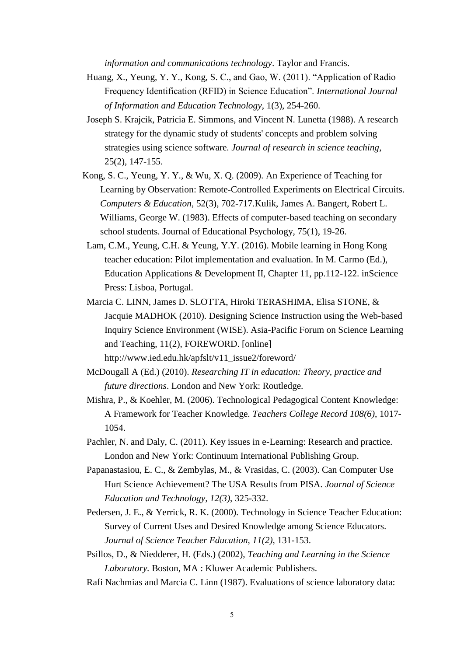*information and communications technology*. Taylor and Francis.

- Huang, X., Yeung, Y. Y., Kong, S. C., and Gao, W. (2011). "Application of Radio Frequency Identification (RFID) in Science Education". *International Journal of Information and Education Technology*, 1(3), 254-260.
- Joseph S. Krajcik, Patricia E. Simmons, and Vincent N. Lunetta (1988). A research strategy for the dynamic study of students' concepts and problem solving strategies using science software. *Journal of research in science teaching*, 25(2), 147-155.
- Kong, S. C., Yeung, Y. Y., & Wu, X. Q. (2009). An Experience of Teaching for Learning by Observation: Remote-Controlled Experiments on Electrical Circuits. *Computers & Education*, 52(3), 702-717.Kulik, James A. Bangert, Robert L. Williams, George W. (198[3\). Effects of computer-based](http://0-ehis.ebscohost.com.edlis.ied.edu.hk/ehost/viewarticle?data=dGJyMPPp44rp2%2fdV0%2bnjisfk5Ie46a9Isq%2b0UK6k63nn5Kx95uXxjL6orUm3pbBIr6meSa%2bwslC4p684zsOkjPDX7Ivf2fKB7eTnfLujtVGvqLFMr6ivPurX7H%2b72%2bw%2b4ti7iOLepIzf3btZzJzfhrunt1Cxo69JsKe3Ra6mrz7k5fCF3%2bq7fvPi6ozj7vIA&hid=116) [teaching on secondary](http://0-ehis.ebscohost.com.edlis.ied.edu.hk/ehost/viewarticle?data=dGJyMPPp44rp2%2fdV0%2bnjisfk5Ie46a9Isq%2b0UK6k63nn5Kx95uXxjL6orUm3pbBIr6meSa%2bwslC4p684zsOkjPDX7Ivf2fKB7eTnfLujtVGvqLFMr6ivPurX7H%2b72%2bw%2b4ti7iOLepIzf3btZzJzfhrunt1Cxo69JsKe3Ra6mrz7k5fCF3%2bq7fvPi6ozj7vIA&hid=116)  [school students. J](http://0-ehis.ebscohost.com.edlis.ied.edu.hk/ehost/viewarticle?data=dGJyMPPp44rp2%2fdV0%2bnjisfk5Ie46a9Isq%2b0UK6k63nn5Kx95uXxjL6orUm3pbBIr6meSa%2bwslC4p684zsOkjPDX7Ivf2fKB7eTnfLujtVGvqLFMr6ivPurX7H%2b72%2bw%2b4ti7iOLepIzf3btZzJzfhrunt1Cxo69JsKe3Ra6mrz7k5fCF3%2bq7fvPi6ozj7vIA&hid=116)ournal of Educational Psychology, 75(1), 19-26.
- Lam, C.M., Yeung, C.H. & Yeung, Y.Y. (2016). Mobile learning in Hong Kong teacher education: Pilot implementation and evaluation. In M. Carmo (Ed.), Education Applications & Development II, Chapter 11, pp.112-122. inScience Press: Lisboa, Portugal.
- Marcia C. LINN, James D. SLOTTA, Hiroki TERASHIMA, Elisa STONE, & Jacquie MADHOK (2010). Designing Science Instruction using the Web-based Inquiry Science Environment (WISE). Asia-Pacific Forum on Science Learning and Teaching, 11(2), FOREWORD. [online] [http://www.ied.edu.hk/apfslt/v11\\_issue2/foreword/](http://www.ied.edu.hk/apfslt/v11_issue2/foreword/)
- McDougall A (Ed.) (2010). *Researching IT in education: Theory, practice and future directions*. London and New York: Routledge.
- Mishra, P., & Koehler, M. (2006). Technological Pedagogical Content Knowledge: A Framework for Teacher Knowledge. *Teachers College Record 108(6)*, 1017- 1054.
- Pachler, N. and Daly, C. (2011). Key issues in e-Learning: Research and practice. London and New York: Continuum International Publishing Group.
- Papanastasiou, E. C., & Zembylas, M., & Vrasidas, C. (2003). Can Computer Use Hurt Science Achievement? The USA Results from PISA. *Journal of Science Education and Technology, 12(3)*, 325-332.
- Pedersen, J. E., & Yerrick, R. K. (2000). Technology in Science Teacher Education: Survey of Current Uses and Desired Knowledge among Science Educators. *Journal of Science Teacher Education, 11(2),* 131-153.
- Psillos, D., & Niedderer, H. (Eds.) (2002), *Teaching and Learning in the Science Laboratory.* Boston, MA : Kluwer Academic Publishers.
- Rafi Nachmias and Marcia C. Linn (1987). Evaluations of science laboratory data: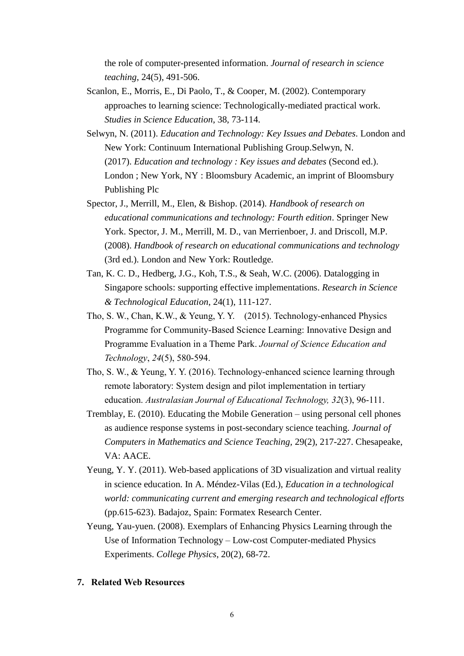the role of computer-presented information. *Journal of research in science teaching*, 24(5), 491-506.

- Scanlon, E., Morris, E., Di Paolo, T., & Cooper, M. (2002). Contemporary approaches to learning science: Technologically-mediated practical work. *Studies in Science Education*, 38, 73-114.
- Selwyn, N. (2011). *Education and Technology: Key Issues and Debates*. London and New York: Continuum International Publishing Group.Selwyn, N. (2017). *Education and technology : Key issues and debates* (Second ed.). London ; New York, NY : Bloomsbury Academic, an imprint of Bloomsbury Publishing Plc
- Spector, J., Merrill, M., Elen, & Bishop. (2014). *Handbook of research on educational communications and technology: Fourth edition*. Springer New York. Spector, J. M., Merrill, M. D., van Merrienboer, J. and Driscoll, M.P. (2008). *Handbook of research on educational communications and technology* (3rd ed.). London and New York: Routledge.
- Tan, K. C. D., Hedberg, J.G., Koh, T.S., & Seah, W.C. (2006). Datalogging in Singapore schools: supporting effective implementations. *Research in Science & Technological Education*, 24(1), 111-127.
- Tho, S. W., Chan, K.W., & Yeung, Y. Y. (2015). Technology-enhanced Physics Programme for Community-Based Science Learning: Innovative Design and Programme Evaluation in a Theme Park. *Journal of Science Education and Technology*, *24*(5), 580-594.
- Tho, S. W., & Yeung, Y. Y. (2016). Technology-enhanced science learning through remote laboratory: System design and pilot implementation in tertiary education. *Australasian Journal of Educational Technology, 32*(3), 96-111.
- Tremblay, E. (2010). Educating the Mobile Generation using personal cell phones as audience response systems in post-secondary science teaching. *Journal of Computers in Mathematics and Science Teaching,* 29(2), 217-227. Chesapeake, VA: AACE.
- Yeung, Y. Y. (2011). Web-based applications of 3D visualization and virtual reality in science education. In A. Méndez-Vilas (Ed.), *Education in a technological world: communicating current and emerging research and technological efforts* (pp.615-623). Badajoz, Spain: Formatex Research Center.
- Yeung, Yau-yuen. (2008). Exemplars of Enhancing Physics Learning through the Use of Information Technology – Low-cost Computer-mediated Physics Experiments. *College Physics*, 20(2), 68-72.

#### **7. Related Web Resources**